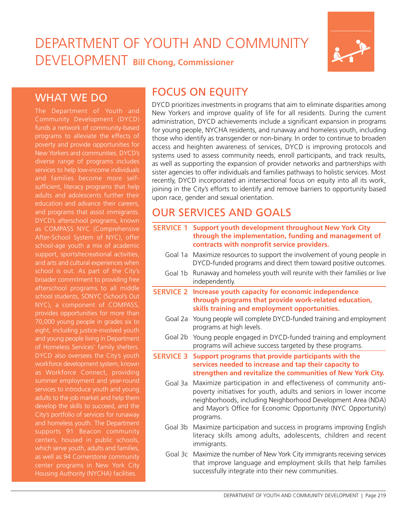# DEPARTMENT OF YOUTH AND COMMUNITY DEVELOPMENT **Bill Chong, Commissioner**



## WHAT WE DO

Community Development (DYCD) funds a network of community-based programs to alleviate the effects of poverty and provide opportunities for New Yorkers and communities. DYCD's services to help low-income individuals and families become more selfsufficient, literacy programs that help adults and adolescents further their education and advance their careers, and programs that assist immigrants. DYCD's afterschool programs, known as COMPASS NYC (Comprehensive school-age youth a mix of academic support, sports/recreational activities, and arts and cultural experiences when broader commitment to providing free afterschool programs to all middle school students, SONYC (School's Out NYC), a component of COMPASS, provides opportunities for more than 70,000 young people in grades six to eight, including justice-involved youth and young people living in Department of Homeless Services' family shelters. workforce development system, known as Workforce Connect, providing summer employment and year-round services to introduce youth and young adults to the job market and help them develop the skills to succeed, and the City's portfolio of services for runaway and homeless youth. The Department supports 91 Beacon community centers, housed in public schools, which serve youth, adults and families, Housing Authority (NYCHA) facilities.

## FOCUS ON EQUITY

DYCD prioritizes investments in programs that aim to eliminate disparities among New Yorkers and improve quality of life for all residents. During the current administration, DYCD achievements include a significant expansion in programs for young people, NYCHA residents, and runaway and homeless youth, including those who identify as transgender or non-binary. In order to continue to broaden access and heighten awareness of services, DYCD is improving protocols and systems used to assess community needs, enroll participants, and track results, as well as supporting the expansion of provider networks and partnerships with sister agencies to offer individuals and families pathways to holistic services. Most recently, DYCD incorporated an intersectional focus on equity into all its work, joining in the City's efforts to identify and remove barriers to opportunity based upon race, gender and sexual orientation.

# OUR SERVICES AND GOALS

- **SERVICE 1 Support youth development throughout New York City through the implementation, funding and management of contracts with nonprofit service providers.**
	- Goal 1a Maximize resources to support the involvement of young people in DYCD-funded programs and direct them toward positive outcomes.
	- Goal 1b Runaway and homeless youth will reunite with their families or live independently.
- **SERVICE 2 Increase youth capacity for economic independence through programs that provide work-related education, skills training and employment opportunities.**
	- Goal 2a Young people will complete DYCD-funded training and employment programs at high levels.
	- Goal 2b Young people engaged in DYCD-funded training and employment programs will achieve success targeted by these programs.
- **SERVICE 3 Support programs that provide participants with the services needed to increase and tap their capacity to strengthen and revitalize the communities of New York City.**
	- Goal 3a Maximize participation in and effectiveness of community antipoverty initiatives for youth, adults and seniors in lower income neighborhoods, including Neighborhood Development Area (NDA) and Mayor's Office for Economic Opportunity (NYC Opportunity) programs.
	- Goal 3b Maximize participation and success in programs improving English literacy skills among adults, adolescents, children and recent immigrants.
	- Goal 3c Maximize the number of New York City immigrants receiving services that improve language and employment skills that help families successfully integrate into their new communities.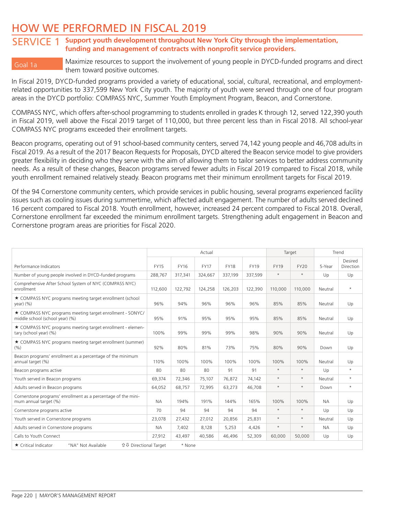## HOW WE PERFORMED IN FISCAL 2019

### SERVICE 1 **Support youth development throughout New York City through the implementation, funding and management of contracts with nonprofit service providers.**

Goal 1a Maximize resources to support the involvement of young people in DYCD-funded programs and direct them toward positive outcomes.

In Fiscal 2019, DYCD-funded programs provided a variety of educational, social, cultural, recreational, and employmentrelated opportunities to 337,599 New York City youth. The majority of youth were served through one of four program areas in the DYCD portfolio: COMPASS NYC, Summer Youth Employment Program, Beacon, and Cornerstone.

COMPASS NYC, which offers after-school programming to students enrolled in grades K through 12, served 122,390 youth in Fiscal 2019, well above the Fiscal 2019 target of 110,000, but three percent less than in Fiscal 2018. All school-year COMPASS NYC programs exceeded their enrollment targets.

Beacon programs, operating out of 91 school-based community centers, served 74,142 young people and 46,708 adults in Fiscal 2019. As a result of the 2017 Beacon Requests for Proposals, DYCD altered the Beacon service model to give providers greater flexibility in deciding who they serve with the aim of allowing them to tailor services to better address community needs. As a result of these changes, Beacon programs served fewer adults in Fiscal 2019 compared to Fiscal 2018, while youth enrollment remained relatively steady. Beacon programs met their minimum enrollment targets for Fiscal 2019.

Of the 94 Cornerstone community centers, which provide services in public housing, several programs experienced facility issues such as cooling issues during summertime, which affected adult engagement. The number of adults served declined 16 percent compared to Fiscal 2018. Youth enrollment, however, increased 24 percent compared to Fiscal 2018. Overall, Cornerstone enrollment far exceeded the minimum enrollment targets. Strengthening adult engagement in Beacon and Cornerstone program areas are priorities for Fiscal 2020.

|                                                                                              | Actual      |             |             |             |             |             | Target      |           | Trend            |  |
|----------------------------------------------------------------------------------------------|-------------|-------------|-------------|-------------|-------------|-------------|-------------|-----------|------------------|--|
|                                                                                              |             |             |             |             |             |             |             |           | Desired          |  |
| Performance Indicators                                                                       | <b>FY15</b> | <b>FY16</b> | <b>FY17</b> | <b>FY18</b> | <b>FY19</b> | <b>FY19</b> | <b>FY20</b> | 5-Year    | <b>Direction</b> |  |
| Number of young people involved in DYCD-funded programs                                      | 288,767     | 317,341     | 324,667     | 337,199     | 337,599     | $\star$     | $\star$     | Up        | Up               |  |
| Comprehensive After School System of NYC (COMPASS NYC)<br>enrollment                         | 112,600     | 122,792     | 124,258     | 126,203     | 122,390     | 110,000     | 110,000     | Neutral   | $\star$          |  |
| ★ COMPASS NYC programs meeting target enrollment (school<br>$year)$ $(%)$                    | 96%         | 94%         | 96%         | 96%         | 96%         | 85%         | 85%         | Neutral   | Up               |  |
| ★ COMPASS NYC programs meeting target enrollment - SONYC/<br>middle school (school year) (%) | 95%         | 91%         | 95%         | 95%         | 95%         | 85%         | 85%         | Neutral   | Up               |  |
| ★ COMPASS NYC programs meeting target enrollment - elemen-<br>tary (school year) (%)         | 100%        | 99%         | 99%         | 99%         | 98%         | 90%         | 90%         | Neutral   | Up               |  |
| ★ COMPASS NYC programs meeting target enrollment (summer)<br>(9/6)                           | 92%         | 80%         | 81%         | 73%         | 75%         | 80%         | 90%         | Down      | Up               |  |
| Beacon programs' enrollment as a percentage of the minimum<br>annual target (%)              | 110%        | 100%        | 100%        | 100%        | 100%        | 100%        | 100%        | Neutral   | Up               |  |
| Beacon programs active                                                                       | 80          | 80          | 80          | 91          | 91          | $\star$     | $\star$     | Up        | $\star$          |  |
| Youth served in Beacon programs                                                              | 69,374      | 72,346      | 75,107      | 76,872      | 74,142      | $\star$     | $\star$     | Neutral   | $\star$          |  |
| Adults served in Beacon programs                                                             | 64.052      | 68.757      | 72,995      | 63,273      | 46.708      | $\star$     | $\star$     | Down      | $\star$          |  |
| Cornerstone programs' enrollment as a percentage of the mini-<br>mum annual target (%)       | <b>NA</b>   | 194%        | 191%        | 144%        | 165%        | 100%        | 100%        | <b>NA</b> | Up               |  |
| Cornerstone programs active                                                                  | 70          | 94          | 94          | 94          | 94          | $\star$     | $\star$     | Up        | Up               |  |
| Youth served in Cornerstone programs                                                         | 23,078      | 27,432      | 27,012      | 20,856      | 25,831      | $\star$     | $\star$     | Neutral   | Up               |  |
| Adults served in Cornerstone programs                                                        | <b>NA</b>   | 7,402       | 8.128       | 5,253       | 4,426       | $\star$     | $\star$     | <b>NA</b> | Up               |  |
| Calls to Youth Connect                                                                       | 27,912      | 43,497      | 40.586      | 46,496      | 52,309      | 60,000      | 50,000      | Up        | Up               |  |
| ★ Critical Indicator<br>"NA" Not Available<br><b>û ↓</b> Directional Target                  |             | * None      |             |             |             |             |             |           |                  |  |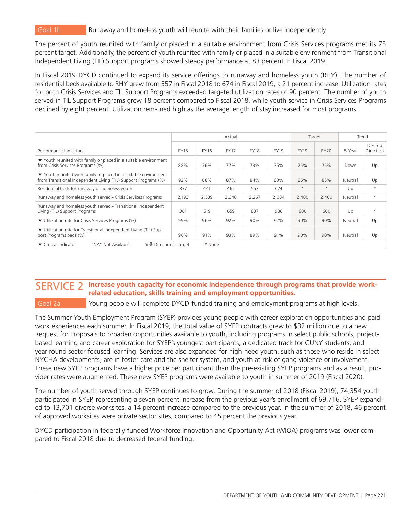Goal 1b Runaway and homeless youth will reunite with their families or live independently.

The percent of youth reunited with family or placed in a suitable environment from Crisis Services programs met its 75 percent target. Additionally, the percent of youth reunited with family or placed in a suitable environment from Transitional Independent Living (TIL) Support programs showed steady performance at 83 percent in Fiscal 2019.

In Fiscal 2019 DYCD continued to expand its service offerings to runaway and homeless youth (RHY). The number of residential beds available to RHY grew from 557 in Fiscal 2018 to 674 in Fiscal 2019, a 21 percent increase. Utilization rates for both Crisis Services and TIL Support Programs exceeded targeted utilization rates of 90 percent. The number of youth served in TIL Support Programs grew 18 percent compared to Fiscal 2018, while youth service in Crisis Services Programs declined by eight percent. Utilization remained high as the average length of stay increased for most programs.

|                                                                                                                                     |             | Actual      |             |             |             |             |             |         | Trend                |
|-------------------------------------------------------------------------------------------------------------------------------------|-------------|-------------|-------------|-------------|-------------|-------------|-------------|---------|----------------------|
| Performance Indicators                                                                                                              | <b>FY15</b> | <b>FY16</b> | <b>FY17</b> | <b>FY18</b> | <b>FY19</b> | <b>FY19</b> | <b>FY20</b> | 5-Year  | Desired<br>Direction |
| $\star$ Youth reunited with family or placed in a suitable environment<br>from Crisis Services Programs (%)                         | 88%         | 76%         | 77%         | 73%         | 75%         | 75%         | 75%         | Down    | Up                   |
| ★ Youth reunited with family or placed in a suitable environment<br>from Transitional Independent Living (TIL) Support Programs (%) | 92%         | 88%         | 87%         | 84%         | 83%         | 85%         | 85%         | Neutral | Up                   |
| Residential beds for runaway or homeless youth                                                                                      | 337         | 441         | 465         | 557         | 674         | $\star$     | $\star$     | Up      | $\star$              |
| Runaway and homeless youth served - Crisis Services Programs                                                                        | 2,193       | 2,539       | 2,340       | 2,267       | 2,084       | 2,400       | 2,400       | Neutral | $\star$              |
| Runaway and homeless youth served - Transitional Independent<br>Living (TIL) Support Programs                                       | 361         | 519         | 659         | 837         | 986         | 600         | 600         | Up      | $\star$              |
| ★ Utilization rate for Crisis Services Programs (%)                                                                                 | 99%         | 96%         | 92%         | 90%         | 92%         | 90%         | 90%         | Neutral | Up                   |
| ★ Utilization rate for Transitional Independent Living (TIL) Sup-<br>port Programs beds (%)                                         | 96%         | 91%         | 93%         | 89%         | 91%         | 90%         | 90%         | Neutral | Up                   |
| ★ Critical Indicator<br><b>û ↓</b> Directional Target<br>"NA" Not Available                                                         |             | * None      |             |             |             |             |             |         |                      |

### SERVICE 2 Increase youth capacity for economic independence through programs that provide work**related education, skills training and employment opportunities.**

Goal 2a Young people will complete DYCD-funded training and employment programs at high levels.

The Summer Youth Employment Program (SYEP) provides young people with career exploration opportunities and paid work experiences each summer. In Fiscal 2019, the total value of SYEP contracts grew to \$32 million due to a new Request for Proposals to broaden opportunities available to youth, including programs in select public schools, projectbased learning and career exploration for SYEP's youngest participants, a dedicated track for CUNY students, and year-round sector-focused learning. Services are also expanded for high-need youth, such as those who reside in select NYCHA developments, are in foster care and the shelter system, and youth at risk of gang violence or involvement. These new SYEP programs have a higher price per participant than the pre-existing SYEP programs and as a result, provider rates were augmented. These new SYEP programs were available to youth in summer of 2019 (Fiscal 2020).

The number of youth served through SYEP continues to grow. During the summer of 2018 (Fiscal 2019), 74,354 youth participated in SYEP, representing a seven percent increase from the previous year's enrollment of 69,716. SYEP expanded to 13,701 diverse worksites, a 14 percent increase compared to the previous year. In the summer of 2018, 46 percent of approved worksites were private sector sites, compared to 45 percent the previous year.

DYCD participation in federally-funded Workforce Innovation and Opportunity Act (WIOA) programs was lower compared to Fiscal 2018 due to decreased federal funding.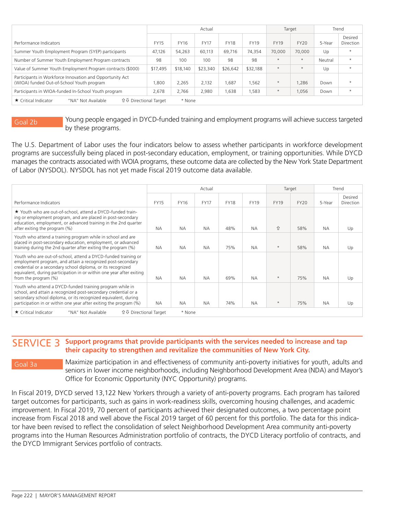|                                                                                                       |             |             | Actual      |             |             |             | Target  |         | Trend                |
|-------------------------------------------------------------------------------------------------------|-------------|-------------|-------------|-------------|-------------|-------------|---------|---------|----------------------|
| Performance Indicators                                                                                | <b>FY15</b> | <b>FY16</b> | <b>FY17</b> | <b>FY18</b> | <b>FY19</b> | <b>FY19</b> | FY20    | 5-Year  | Desired<br>Direction |
| Summer Youth Employment Program (SYEP) participants                                                   | 47,126      | 54,263      | 60,113      | 69,716      | 74.354      | 70,000      | 70,000  | Up      | $\star$              |
| Number of Summer Youth Employment Program contracts                                                   | 98          | 100         | 100         | 98          | 98          | $\star$     | $\star$ | Neutral | $\star$              |
| Value of Summer Youth Employment Program contracts (\$000)                                            | \$17,495    | \$18,140    | \$23,340    | \$26,642    | \$32,188    | $\star$     | $\star$ | Up      | $\star$              |
| Participants in Workforce Innovation and Opportunity Act<br>(WIOA) funded Out-of-School Youth program | 1,800       | 2,265       | 2,132       | 1,687       | 1,562       | $\star$     | .286    | Down    | $\star$              |
| Participants in WIOA-funded In-School Youth program                                                   | 2,678       | 2.766       | 2,980       | 1,638       | 1,583       | $\star$     | 1.056   | Down    | $\star$              |
| <b>介</b> → Directional Target<br>$\star$ Critical Indicator<br>"NA" Not Available                     |             | * None      |             |             |             |             |         |         |                      |

Goal 2b Young people engaged in DYCD-funded training and employment programs will achieve success targeted by these programs.

The U.S. Department of Labor uses the four indicators below to assess whether participants in workforce development programs are successfully being placed in post-secondary education, employment, or training opportunities. While DYCD manages the contracts associated with WOIA programs, these outcome data are collected by the New York State Department of Labor (NYSDOL). NYSDOL has not yet made Fiscal 2019 outcome data available.

|                                                                                                                                                                                                                                                                                            | Actual      |           |             |             |             |             | Target |           | Trend                       |
|--------------------------------------------------------------------------------------------------------------------------------------------------------------------------------------------------------------------------------------------------------------------------------------------|-------------|-----------|-------------|-------------|-------------|-------------|--------|-----------|-----------------------------|
| Performance Indicators                                                                                                                                                                                                                                                                     | <b>FY15</b> | FY16      | <b>FY17</b> | <b>FY18</b> | <b>FY19</b> | <b>FY19</b> | FY20   | 5-Year    | Desired<br><b>Direction</b> |
| ★ Youth who are out-of-school, attend a DYCD-funded train-<br>ing or employment program, and are placed in post-secondary<br>education, employment, or advanced training in the 2nd quarter<br>after exiting the program (%)                                                               | <b>NA</b>   | <b>NA</b> | <b>NA</b>   | 48%         | <b>NA</b>   | ⇧           | 58%    | <b>NA</b> | Up                          |
| Youth who attend a training program while in school and are<br>placed in post-secondary education, employment, or advanced<br>training during the 2nd quarter after exiting the program (%)                                                                                                | <b>NA</b>   | <b>NA</b> | <b>NA</b>   | 75%         | <b>NA</b>   | $\star$     | 58%    | <b>NA</b> | Up                          |
| Youth who are out-of-school, attend a DYCD-funded training or<br>employment program, and attain a recognized post-secondary<br>credential or a secondary school diploma, or its recognized<br>equivalent, during participation in or within one year after exiting<br>from the program (%) | <b>NA</b>   | <b>NA</b> | <b>NA</b>   | 69%         | <b>NA</b>   | $\star$     | 75%    | <b>NA</b> | Up                          |
| Youth who attend a DYCD-funded training program while in<br>school, and attain a recognized post-secondary credential or a<br>secondary school diploma, or its recognized equivalent, during<br>participation in or within one year after exiting the program (%)                          | <b>NA</b>   | <b>NA</b> | <b>NA</b>   | 74%         | <b>NA</b>   | $\star$     | 75%    | <b>NA</b> | Up                          |
| <b>û ↓</b> Directional Target<br>★ Critical Indicator<br>"NA" Not Available                                                                                                                                                                                                                |             | * None    |             |             |             |             |        |           |                             |

### SERVICE 3 **Support programs that provide participants with the services needed to increase and tap their capacity to strengthen and revitalize the communities of New York City.**

Goal 3a Maximize participation in and effectiveness of community anti-poverty initiatives for youth, adults and seniors in lower income neighborhoods, including Neighborhood Development Area (NDA) and Mayor's Office for Economic Opportunity (NYC Opportunity) programs.

In Fiscal 2019, DYCD served 13,122 New Yorkers through a variety of anti-poverty programs. Each program has tailored target outcomes for participants, such as gains in work-readiness skills, overcoming housing challenges, and academic improvement. In Fiscal 2019, 70 percent of participants achieved their designated outcomes, a two percentage point increase from Fiscal 2018 and well above the Fiscal 2019 target of 60 percent for this portfolio. The data for this indicator have been revised to reflect the consolidation of select Neighborhood Development Area community anti-poverty programs into the Human Resources Administration portfolio of contracts, the DYCD Literacy portfolio of contracts, and the DYCD Immigrant Services portfolio of contracts.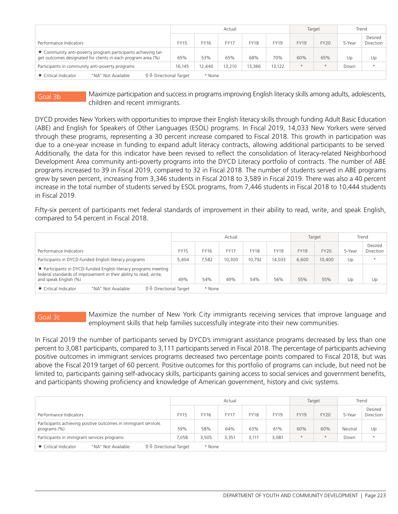|                                                                                                                                    |             |             | Actual      |             |        | Target      |             | Trend  |                      |  |
|------------------------------------------------------------------------------------------------------------------------------------|-------------|-------------|-------------|-------------|--------|-------------|-------------|--------|----------------------|--|
| Performance Indicators                                                                                                             | <b>FY15</b> | <b>FY16</b> | <b>FY17</b> | <b>FY18</b> | FY19   | <b>FY19</b> | <b>FY20</b> | 5-Year | Desired<br>Direction |  |
| $\star$ Community anti-poverty program participants achieving tar-<br>get outcomes designated for clients in each program area (%) | 65%         | 53%         | 65%         | 68%         | 70%    | 60%         | 65%         | Up     | Up                   |  |
| Participants in community anti-poverty programs                                                                                    | 16,145      | 12.440      | 13,210      | 13,366      | 13.122 | $\star$     | $\star$     | Down   | $\star$              |  |
| <b>û ↓ Directional Target</b><br>★ Critical Indicator<br>"NA" Not Available                                                        |             |             | * None      |             |        |             |             |        |                      |  |

Goal 3b Maximize participation and success in programs improving English literacy skills among adults, adolescents, children and recent immigrants.

DYCD provides New Yorkers with opportunities to improve their English literacy skills through funding Adult Basic Education (ABE) and English for Speakers of Other Languages (ESOL) programs. In Fiscal 2019, 14,033 New Yorkers were served through these programs, representing a 30 percent increase compared to Fiscal 2018. This growth in participation was due to a one-year increase in funding to expand adult literacy contracts, allowing additional participants to be served. Additionally, the data for this indicator have been revised to reflect the consolidation of literacy-related Neighborhood Development Area community anti-poverty programs into the DYCD Literacy portfolio of contracts. The number of ABE programs increased to 39 in Fiscal 2019, compared to 32 in Fiscal 2018. The number of students served in ABE programs grew by seven percent, increasing from 3,346 students in Fiscal 2018 to 3,589 in Fiscal 2019. There was also a 40 percent increase in the total number of students served by ESOL programs, from 7,446 students in Fiscal 2018 to 10,444 students in Fiscal 2019.

Fifty-six percent of participants met federal standards of improvement in their ability to read, write, and speak English, compared to 54 percent in Fiscal 2018.

|                                                                                                                                                               |             |        | Actual      |             |             | Target      |             | Trend  |                      |
|---------------------------------------------------------------------------------------------------------------------------------------------------------------|-------------|--------|-------------|-------------|-------------|-------------|-------------|--------|----------------------|
| Performance Indicators                                                                                                                                        | <b>FY15</b> | FY16   | <b>FY17</b> | <b>FY18</b> | <b>FY19</b> | <b>FY19</b> | <b>FY20</b> | 5-Year | Desired<br>Direction |
| Participants in DYCD-funded English literacy programs                                                                                                         | 5,404       | 7,582  | 10,300      | 10,792      | 14.033      | 6,600       | 10,400      | Up     | $\star$              |
| ★ Participants in DYCD-funded English literacy programs meeting<br>federal standards of improvement in their ability to read, write,<br>and speak English (%) | 49%         | 54%    | 49%         | 54%         | 56%         | 55%         | 55%         | Up     | Up                   |
| <b>û ↓ Directional Target</b><br>$\star$ Critical Indicator<br>"NA" Not Available                                                                             |             | * None |             |             |             |             |             |        |                      |

Goal 3c Maximize the number of New York City immigrants receiving services that improve language and employment skills that help families successfully integrate into their new communities.

In Fiscal 2019 the number of participants served by DYCD's immigrant assistance programs decreased by less than one percent to 3,081 participants, compared to 3,111 participants served in Fiscal 2018. The percentage of participants achieving positive outcomes in immigrant services programs decreased two percentage points compared to Fiscal 2018, but was above the Fiscal 2019 target of 60 percent. Positive outcomes for this portfolio of programs can include, but need not be limited to, participants gaining self-advocacy skills, participants gaining access to social services and government benefits, and participants showing proficiency and knowledge of American government, history and civic systems.

|                                                                                   |             |             | Actual      |             |             | Target      |             | Trend   |                      |
|-----------------------------------------------------------------------------------|-------------|-------------|-------------|-------------|-------------|-------------|-------------|---------|----------------------|
| Performance Indicators                                                            | <b>FY15</b> | <b>FY16</b> | <b>FY17</b> | <b>FY18</b> | <b>FY19</b> | <b>FY19</b> | <b>FY20</b> | 5-Year  | Desired<br>Direction |
| Participants achieving positive outcomes in immigrant services<br>programs $(\%)$ | 59%         | 58%         | 64%         | 63%         | 61%         | 60%         | 60%         | Neutral | Up                   |
| Participants in immigrant services programs                                       | 7,058       | 3,505       | 3,351       | 3,111       | 3,081       | $\star$     | $\star$     | Down    | $\star$              |
| <b>û ↓ Directional Target</b><br>"NA" Not Available<br>★ Critical Indicator       |             | * None      |             |             |             |             |             |         |                      |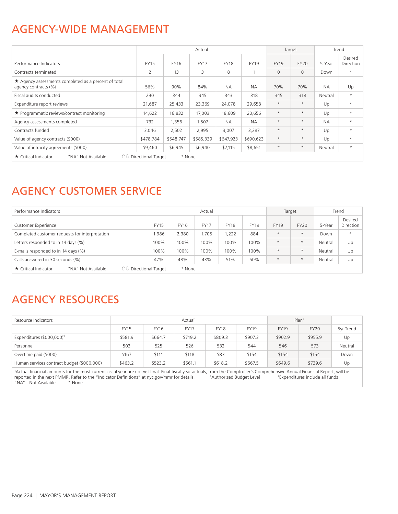## AGENCY-WIDE MANAGEMENT

|                                                                              |                               |             | Actual      |             |             |              | Target       |           | Trend                |
|------------------------------------------------------------------------------|-------------------------------|-------------|-------------|-------------|-------------|--------------|--------------|-----------|----------------------|
| Performance Indicators                                                       | <b>FY15</b>                   | <b>FY16</b> | <b>FY17</b> | <b>FY18</b> | <b>FY19</b> | <b>FY19</b>  | <b>FY20</b>  | 5-Year    | Desired<br>Direction |
| Contracts terminated                                                         | $\overline{2}$                | 13          | 3           | 8           |             | $\mathbf{0}$ | $\mathbf{0}$ | Down      | $\star$              |
| ★ Agency assessments completed as a percent of total<br>agency contracts (%) | 56%                           | 90%         | 84%         | <b>NA</b>   | <b>NA</b>   | 70%          | 70%          | <b>NA</b> | Up                   |
| Fiscal audits conducted                                                      | 290                           | 344         | 345         | 343         | 318         | 345          | 318          | Neutral   | $\star$              |
| Expenditure report reviews                                                   | 21,687                        | 25,433      | 23,369      | 24,078      | 29,658      | $\star$      | $\star$      | Up        | $\star$              |
| ★ Programmatic reviews/contract monitoring                                   | 14,622                        | 16,832      | 17,003      | 18,609      | 20,656      | $\star$      | $\star$      | Up        | $\star$              |
| Agency assessments completed                                                 | 732                           | 1,356       | 1,507       | <b>NA</b>   | <b>NA</b>   | $\star$      | $\star$      | <b>NA</b> | $\star$              |
| Contracts funded                                                             | 3,046                         | 2,502       | 2,995       | 3,007       | 3,287       | $\star$      | $\star$      | Up        | $\star$              |
| Value of agency contracts (\$000)                                            | \$478,784                     | \$548,747   | \$585,339   | \$647,923   | \$690,623   | $\star$      | $\star$      | Up        | $\star$              |
| Value of intracity agreements (\$000)                                        | \$9,460                       | \$6,945     | \$6,940     | \$7,115     | \$8,651     | $\star$      | $\star$      | Neutral   | $\star$              |
| ★ Critical Indicator<br>"NA" Not Available                                   | <b>û ↓</b> Directional Target | * None      |             |             |             |              |              |           |                      |

# AGENCY CUSTOMER SERVICE

| Performance Indicators                                                     |             |             | Actual      |             |      | Target      |             | Trend   |                             |
|----------------------------------------------------------------------------|-------------|-------------|-------------|-------------|------|-------------|-------------|---------|-----------------------------|
| <b>Customer Experience</b>                                                 | <b>FY15</b> | <b>FY16</b> | <b>FY17</b> | <b>FY18</b> | FY19 | <b>FY19</b> | <b>FY20</b> | 5-Year  | Desired<br><b>Direction</b> |
| Completed customer requests for interpretation                             | .986        | 2,380       | .705        | ,222        | 884  | $\star$     | $\star$     | Down    | $\star$                     |
| Letters responded to in 14 days (%)                                        | 100%        | 100%        | 100%        | 100%        | 100% | $\star$     | $\star$     | Neutral | Up                          |
| E-mails responded to in 14 days (%)                                        | 100%        | 100%        | 100%        | 100%        | 100% | $\star$     | $\star$     | Neutral | Up                          |
| Calls answered in 30 seconds (%)                                           | 47%         | 48%         | 43%         | 51%         | 50%  | $\star$     | $\star$     | Neutral | Up                          |
| <b>↑↓</b> Directional Target<br>★ Critical Indicator<br>"NA" Not Available |             | * None      |             |             |      |             |             |         |                             |

# AGENCY RESOURCES

| Resource Indicators                        |             |         | Actual <sup>1</sup> |             |             | Plan <sup>2</sup> |             |           |
|--------------------------------------------|-------------|---------|---------------------|-------------|-------------|-------------------|-------------|-----------|
|                                            | <b>FY15</b> | FY16    | <b>FY17</b>         | <b>FY18</b> | <b>FY19</b> | <b>FY19</b>       | <b>FY20</b> | 5yr Trend |
| Expenditures (\$000,000) <sup>3</sup>      | \$581.9     | \$664.7 | \$719.2             | \$809.3     | \$907.3     | \$902.9           | \$955.9     | Up        |
| Personnel                                  | 503         | 525     | 526                 | 532         | 544         | 546               | 573         | Neutral   |
| Overtime paid (\$000)                      | \$167       | \$111   | \$118               | \$83        | \$154       | \$154             | \$154       | Down      |
| Human services contract budget (\$000,000) | \$463.2     | \$523.2 | \$561.1             | \$618.2     | \$667.5     | \$649.6           | \$739.6     | Up        |

1 Actual financial amounts for the most current fiscal year are not yet final. Final fiscal year actuals, from the Comptroller's Comprehensive Annual Financial Report, will be reported in the next PMMR. Refer to the "Indicator Definitions" at nyc.gov/mmr for details. <sup>2</sup>Authorized Budget Level <sup>3</sup>Expenditures include all funds "NA" - Not Available \* None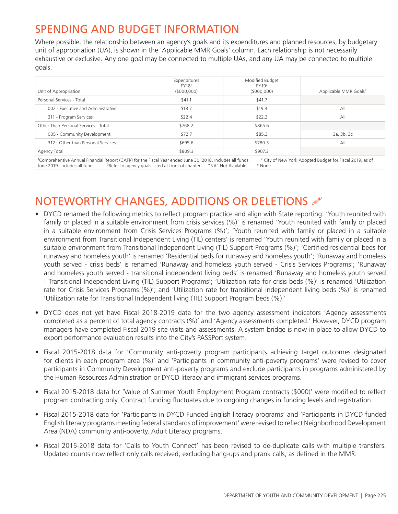# SPENDING AND BUDGET INFORMATION

Where possible, the relationship between an agency's goals and its expenditures and planned resources, by budgetary unit of appropriation (UA), is shown in the 'Applicable MMR Goals' column. Each relationship is not necessarily exhaustive or exclusive. Any one goal may be connected to multiple UAs, and any UA may be connected to multiple goals.

| Unit of Appropriation                                                                                                                                                                                                                                                                                                             | Expenditures<br>FY18 <sup>1</sup><br>(5000,000) | Modified Budget<br>FY19 <sup>2</sup><br>(5000,000) | Applicable MMR Goals <sup>3</sup> |  |  |  |  |  |
|-----------------------------------------------------------------------------------------------------------------------------------------------------------------------------------------------------------------------------------------------------------------------------------------------------------------------------------|-------------------------------------------------|----------------------------------------------------|-----------------------------------|--|--|--|--|--|
| Personal Services - Total                                                                                                                                                                                                                                                                                                         | \$41.1                                          | \$41.7                                             |                                   |  |  |  |  |  |
| 002 - Executive and Administrative                                                                                                                                                                                                                                                                                                | \$18.7                                          | \$19.4                                             | All                               |  |  |  |  |  |
| 311 - Program Services                                                                                                                                                                                                                                                                                                            | \$22.4                                          | \$22.3                                             | All                               |  |  |  |  |  |
| Other Than Personal Services - Total                                                                                                                                                                                                                                                                                              | \$768.2                                         | \$865.6                                            |                                   |  |  |  |  |  |
| 005 - Community Development                                                                                                                                                                                                                                                                                                       | \$72.7                                          | \$85.3                                             | 3a, 3b, 3c                        |  |  |  |  |  |
| 312 - Other than Personal Services                                                                                                                                                                                                                                                                                                | \$695.6                                         | \$780.3                                            | All                               |  |  |  |  |  |
| Agency Total                                                                                                                                                                                                                                                                                                                      | \$809.3                                         | \$907.3                                            |                                   |  |  |  |  |  |
| <sup>1</sup> Comprehensive Annual Financial Report (CAFR) for the Fiscal Year ended June 30, 2018. Includes all funds.<br><sup>2</sup> City of New York Adopted Budget for Fiscal 2019, as of<br>June 2019. Includes all funds.<br><sup>3</sup> Refer to agency goals listed at front of chapter.<br>* None<br>"NA" Not Available |                                                 |                                                    |                                   |  |  |  |  |  |

# NOTEWORTHY CHANGES, ADDITIONS OR DELETIONS  $\mathscr P$

- DYCD renamed the following metrics to reflect program practice and align with State reporting: 'Youth reunited with family or placed in a suitable environment from crisis services (%)' is renamed 'Youth reunited with family or placed in a suitable environment from Crisis Services Programs (%)'; 'Youth reunited with family or placed in a suitable environment from Transitional Independent Living (TIL) centers' is renamed 'Youth reunited with family or placed in a suitable environment from Transitional Independent Living (TIL) Support Programs (%)'; 'Certified residential beds for runaway and homeless youth' is renamed 'Residential beds for runaway and homeless youth'; 'Runaway and homeless youth served - crisis beds' is renamed 'Runaway and homeless youth served - Crisis Services Programs'; 'Runaway and homeless youth served - transitional independent living beds' is renamed 'Runaway and homeless youth served - Transitional Independent Living (TIL) Support Programs'; 'Utilization rate for crisis beds (%)' is renamed 'Utilization rate for Crisis Services Programs (%)'; and 'Utilization rate for transitional independent living beds (%)' is renamed 'Utilization rate for Transitional Independent living (TIL) Support Program beds (%).'
- DYCD does not yet have Fiscal 2018-2019 data for the two agency assessment indicators 'Agency assessments completed as a percent of total agency contracts (%)' and 'Agency assessments completed.' However, DYCD program managers have completed Fiscal 2019 site visits and assessments. A system bridge is now in place to allow DYCD to export performance evaluation results into the City's PASSPort system.
- Fiscal 2015-2018 data for 'Community anti-poverty program participants achieving target outcomes designated for clients in each program area (%)' and 'Participants in community anti-poverty programs' were revised to cover participants in Community Development anti-poverty programs and exclude participants in programs administered by the Human Resources Administration or DYCD literacy and immigrant services programs.
- Fiscal 2015-2018 data for 'Value of Summer Youth Employment Program contracts (\$000)' were modified to reflect program contracting only. Contract funding fluctuates due to ongoing changes in funding levels and registration.
- Fiscal 2015-2018 data for 'Participants in DYCD Funded English literacy programs' and 'Participants in DYCD funded English literacy programs meeting federal standards of improvement' were revised to reflect Neighborhood Development Area (NDA) community anti-poverty, Adult Literacy programs.
- Fiscal 2015-2018 data for 'Calls to Youth Connect' has been revised to de-duplicate calls with multiple transfers. Updated counts now reflect only calls received, excluding hang-ups and prank calls, as defined in the MMR.